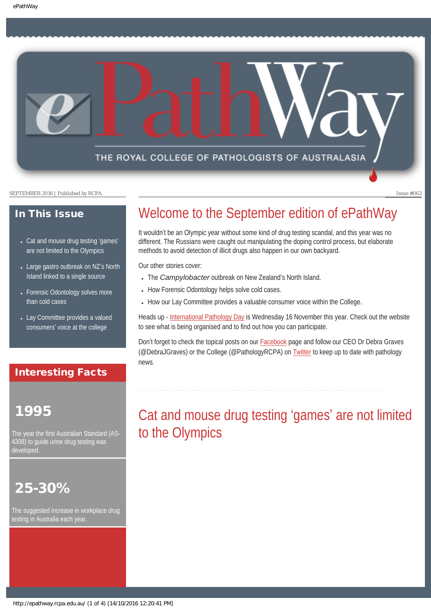THE ROYAL COLLEGE OF PATHOLOGISTS OF AUSTRALASIA

SEPTEMBER 2016 | Published by RCPA Issue #062

### In This Issue

- [Cat and mouse drug testing](#page-0-0) 'games' [are not limited to the Olympics](#page-0-0)
- [Large gastro outbreak on NZ](#page-1-0)'s North [Island linked to a single source](#page-1-0)
- Forensic Odontology solves more [than cold cases](#page-2-0)
- [Lay Committee provides a valued](#page-2-1) consumers' [voice at the college](#page-2-1)

### Interesting Facts

# <span id="page-0-0"></span>1995

The year the first Australian Standard (AS-4308) to guide urine drug testing was developed.

# 25-30%

The suggested increase in workplace drug testing in Australia each year.

# Welcome to the September edition of ePathWay

It wouldn't be an Olympic year without some kind of drug testing scandal, and this year was no different. The Russians were caught out manipulating the doping control process, but elaborate methods to avoid detection of illicit drugs also happen in our own backyard.

Our other stories cover:

- The *Campylobacter* outbreak on New Zealand's North Island.
- How Forensic Odontology helps solve cold cases.
- How our Lay Committee provides a valuable consumer voice within the College.

Heads up - [International Pathology Day](http://www.rcpa.edu.au/Home/Pathology-Day) is Wednesday 16 November this year. Check out the website to see what is being organised and to find out how you can participate.

Don't forget to check the topical posts on our [Facebook](https://www.facebook.com/TheRoyalCollegeOfPathologistsOfAustralasia/) page and follow our CEO Dr Debra Graves (@DebraJGraves) or the College (@PathologyRCPA) on [Twitter](https://twitter.com/pathologyrcpa) to keep up to date with pathology news.

# Cat and mouse drug testing 'games' are not limited to the Olympics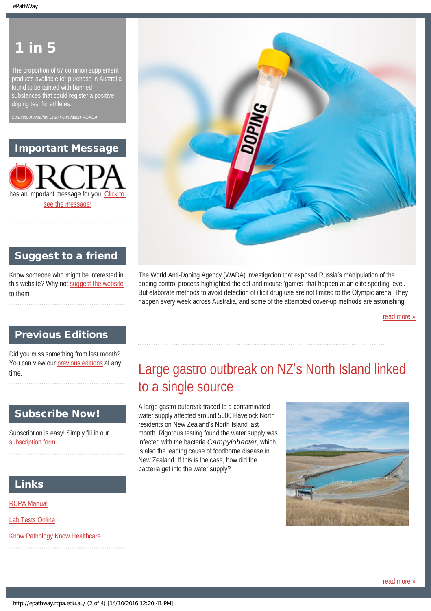# in 5

The proportion of 67 common supplement products available for purchase in Australia found to be tainted with banned substances that could register a positive doping test for athletes.

*Sources: Australian Drug Foundation, ASADA*

## Important Message

has an important message for you. C [see the message!](#page-4-0)



# Suggest to a friend

Know someone who might be interested in this website? Why not [suggest the website](mailto:?Subject=I%20think%20you%20should%20read%20this%20Newsletter=
http://epathway.rcpa.edu.au/index.html) to them.

The World Anti-Doping Agency (WADA) investigation that exposed Russia's manipulation of the doping control process highlighted the cat and mouse 'games' that happen at an elite sporting level. But elaborate methods to avoid detection of illicit drug use are not limited to the Olympic arena. They happen every week across Australia, and some of the attempted cover-up methods are astonishing.

[read more »](#page-8-0)

### Previous Editions

<span id="page-1-0"></span>Did you miss something from last month? You can view our [previous editions](#page-5-0) at any time.

# Subscribe Now!

Subscription is easy! Simply fill in our [subscription form](#page-7-0).

### Links

[RCPA Manual](http://rcpamanual.edu.au/)

[Lab Tests Online](http://www.labtestsonline.org.au/)

[Know Pathology Know Healthcare](http://knowpathology.com.au/)

Large gastro outbreak on NZ's North Island linked to a single source

A large gastro outbreak traced to a contaminated water supply affected around 5000 Havelock North residents on New Zealand's North Island last month. Rigorous testing found the water supply was infected with the bacteria *Campylobacter*, which is also the leading cause of foodborne disease in New Zealand. If this is the case, how did the bacteria get into the water supply?

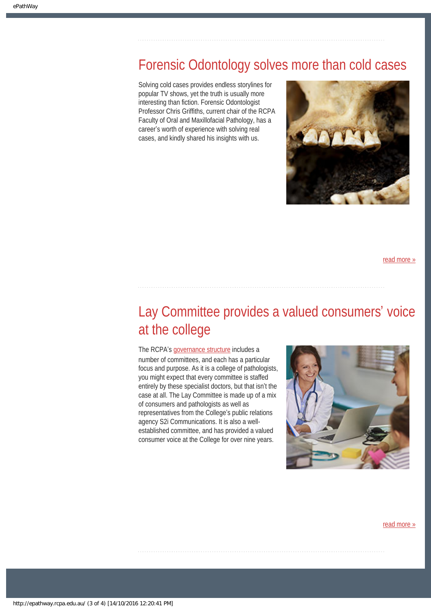# <span id="page-2-0"></span>Forensic Odontology solves more than cold cases

Solving cold cases provides endless storylines for popular TV shows, yet the truth is usually more interesting than fiction. Forensic Odontologist Professor Chris Griffiths, current chair of the RCPA Faculty of Oral and Maxillofacial Pathology, has a career's worth of experience with solving real cases, and kindly shared his insights with us.



[read more »](#page-12-0)

# <span id="page-2-1"></span>Lay Committee provides a valued consumers' voice at the college

The RCPA's [governance structure](https://www.rcpa.edu.au/About/Governance/Docs/RCPA-Governance-Structure.aspx) includes a number of committees, and each has a particular focus and purpose. As it is a college of pathologists, you might expect that every committee is staffed entirely by these specialist doctors, but that isn't the case at all. The Lay Committee is made up of a mix of consumers and pathologists as well as representatives from the College's public relations agency S2i Communications. It is also a wellestablished committee, and has provided a valued consumer voice at the College for over nine years.



[read more »](#page-15-0)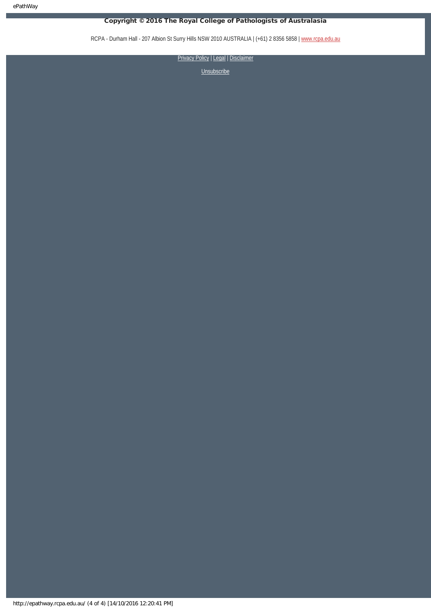ePathWay

### Copyright © 2016 The Royal College of Pathologists of Australasia

RCPA - Durham Hall - 207 Albion St Surry Hills NSW 2010 AUSTRALIA | (+61) 2 8356 5858 | [www.rcpa.edu.au](https://www.rcpa.edu.au/)

[Privacy Policy](https://www.rcpa.edu.au/Privacy-Policy.aspx) | [Legal](https://www.rcpa.edu.au/Legal.aspx) | Disclaimer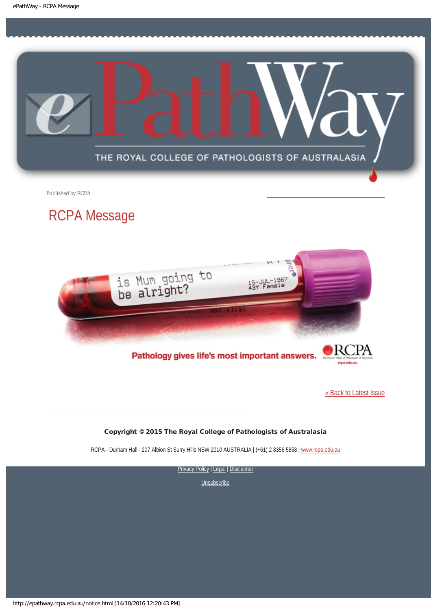<span id="page-4-0"></span>

Published by RCPA

# RCPA Message



Pathology gives life's most important answers.

[« Back to Latest Issue](http://epathway.rcpa.edu.au/index.html)

### Copyright © 2015 The Royal College of Pathologists of Australasia

RCPA - Durham Hall - 207 Albion St Surry Hills NSW 2010 AUSTRALIA | (+61) 2 8356 5858 | [www.rcpa.edu.au](https://www.rcpa.edu.au/)

[Privacy Policy](https://www.rcpa.edu.au/Content-Library/Privacy.aspx) | [Legal](https://www.rcpa.edu.au/Legal.aspx) | Disclaimer

**[Unsubscribe](#page-7-0)** 

http://epathway.rcpa.edu.au/notice.html [14/10/2016 12:20:43 PM]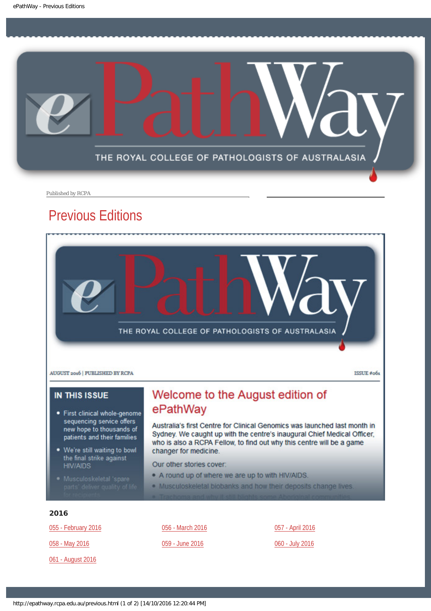<span id="page-5-0"></span>

Published by RCPA

# Previous Editions



### **IN THIS ISSUE**

- · First clinical whole-genome sequencing service offers new hope to thousands of patients and their families
- . We're still waiting to bowl the final strike against **HIV/AIDS**
- 

# Welcome to the August edition of ePathWay

Australia's first Centre for Clinical Genomics was launched last month in Sydney. We caught up with the centre's inaugural Chief Medical Officer, who is also a RCPA Fellow, to find out why this centre will be a game changer for medicine.

Our other stories cover:

- . A round up of where we are up to with HIV/AIDS.
- . Musculoskeletal biobanks and how their deposits change lives.

### 2016

[055 - February 2016](http://epathway.rcpa.edu.au/previous/055_0216.pdf)

[058 - May 2016](http://epathway.rcpa.edu.au/previous/058_0516.pdf)

[061 - August 2016](http://epathway.rcpa.edu.au/previous/061_0816.pdf)

[056 - March 2016](http://epathway.rcpa.edu.au/previous/056_0316.pdf)

### [059 - June 2016](http://epathway.rcpa.edu.au/previous/059_0616.pdf)

[057 - April 2016](http://epathway.rcpa.edu.au/previous/057_0416.pdf)

[060 - July 2016](http://epathway.rcpa.edu.au/previous/060_0716.pdf)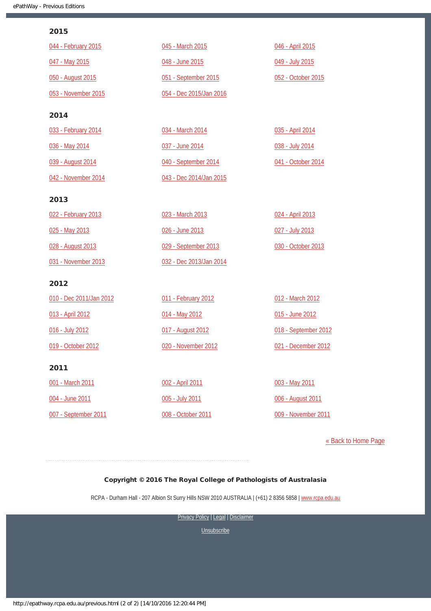### 2015

| 044 - February 2015     | 045 - March 2015        | 046 - April 2015     |
|-------------------------|-------------------------|----------------------|
| 047 - May 2015          | 048 - June 2015         | 049 - July 2015      |
| 050 - August 2015       | 051 - September 2015    | 052 - October 2015   |
| 053 - November 2015     | 054 - Dec 2015/Jan 2016 |                      |
| 2014                    |                         |                      |
| 033 - February 2014     | 034 - March 2014        | 035 - April 2014     |
| 036 - May 2014          | 037 - June 2014         | 038 - July 2014      |
| 039 - August 2014       | 040 - September 2014    | 041 - October 2014   |
| 042 - November 2014     | 043 - Dec 2014/Jan 2015 |                      |
| 2013                    |                         |                      |
| 022 - February 2013     | 023 - March 2013        | 024 - April 2013     |
| 025 - May 2013          | 026 - June 2013         | 027 - July 2013      |
| 028 - August 2013       | 029 - September 2013    | 030 - October 2013   |
| 031 - November 2013     | 032 - Dec 2013/Jan 2014 |                      |
| 2012                    |                         |                      |
| 010 - Dec 2011/Jan 2012 | 011 - February 2012     | 012 - March 2012     |
| 013 - April 2012        | 014 - May 2012          | 015 - June 2012      |
| 016 - July 2012         | 017 - August 2012       | 018 - September 2012 |
| 019 - October 2012      | 020 - November 2012     | 021 - December 2012  |
| 2011                    |                         |                      |
| 001 - March 2011        | 002 - April 2011        | 003 - May 2011       |
| 004 - June 2011         | 005 - July 2011         | 006 - August 2011    |
| 007 - September 2011    | 008 - October 2011      | 009 - November 2011  |

[« Back to Home Page](http://epathway.rcpa.edu.au/index.html)

### Copyright © 2016 The Royal College of Pathologists of Australasia

RCPA - Durham Hall - 207 Albion St Surry Hills NSW 2010 AUSTRALIA | (+61) 2 8356 5858 | [www.rcpa.edu.au](https://www.rcpa.edu.au/)

[Privacy Policy](https://www.rcpa.edu.au/Content-Library/Privacy.aspx) | [Legal](https://www.rcpa.edu.au/Legal.aspx) | Disclaimer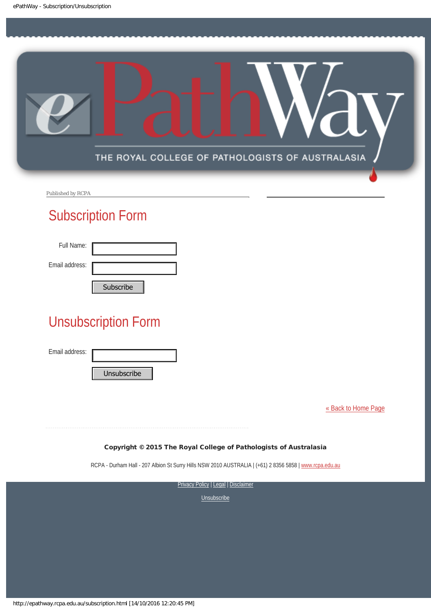<span id="page-7-0"></span>

Published by RCPA

# Subscription Form

| Full Name:     |                |
|----------------|----------------|
| Email address: |                |
|                | $C1$ the cribe |

# Unsubscription Form Subscribe<br>
Unsubscription Form<br>
Email address:<br>
Unsubscribe<br>
Copyright © 2015 The Roya<br>
RCPA - Durham Hall - 207 Albion St Surry Hill:<br>
Privacy<br>
RCPA - Durham Hall - 207 Albion St Surry Hill:<br>
Privacy<br>
Nttp://epathway.rcpa

Email address:

[« Back to Home Page](http://epathway.rcpa.edu.au/index.html)

### Copyright © 2015 The Royal College of Pathologists of Australasia

RCPA - Durham Hall - 207 Albion St Surry Hills NSW 2010 AUSTRALIA | (+61) 2 8356 5858 | [www.rcpa.edu.au](http://www.rcpa.edu.au/)

**[Privacy Policy](http://www.rcpa.edu.au/Content-Library/Privacy.aspx) | [Legal](http://www.rcpa.edu.au/Legal.aspx) | Disclaimer**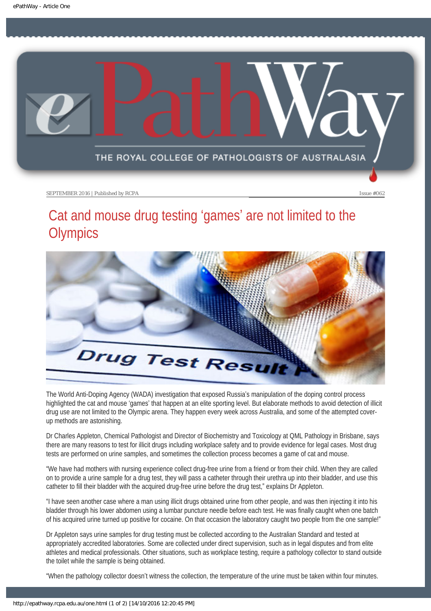<span id="page-8-0"></span>

# Cat and mouse drug testing 'games' are not limited to the **Olympics**



The World Anti-Doping Agency (WADA) investigation that exposed Russia's manipulation of the doping control process highlighted the cat and mouse 'games' that happen at an elite sporting level. But elaborate methods to avoid detection of illicit drug use are not limited to the Olympic arena. They happen every week across Australia, and some of the attempted coverup methods are astonishing.

Dr Charles Appleton, Chemical Pathologist and Director of Biochemistry and Toxicology at QML Pathology in Brisbane, says there are many reasons to test for illicit drugs including workplace safety and to provide evidence for legal cases. Most drug tests are performed on urine samples, and sometimes the collection process becomes a game of cat and mouse.

"We have had mothers with nursing experience collect drug-free urine from a friend or from their child. When they are called on to provide a urine sample for a drug test, they will pass a catheter through their urethra up into their bladder, and use this catheter to fill their bladder with the acquired drug-free urine before the drug test," explains Dr Appleton.

"I have seen another case where a man using illicit drugs obtained urine from other people, and was then injecting it into his bladder through his lower abdomen using a lumbar puncture needle before each test. He was finally caught when one batch of his acquired urine turned up positive for cocaine. On that occasion the laboratory caught two people from the one sample!"

Dr Appleton says urine samples for drug testing must be collected according to the Australian Standard and tested at appropriately accredited laboratories. Some are collected under direct supervision, such as in legal disputes and from elite athletes and medical professionals. Other situations, such as workplace testing, require a pathology collector to stand outside the toilet while the sample is being obtained.

"When the pathology collector doesn't witness the collection, the temperature of the urine must be taken within four minutes.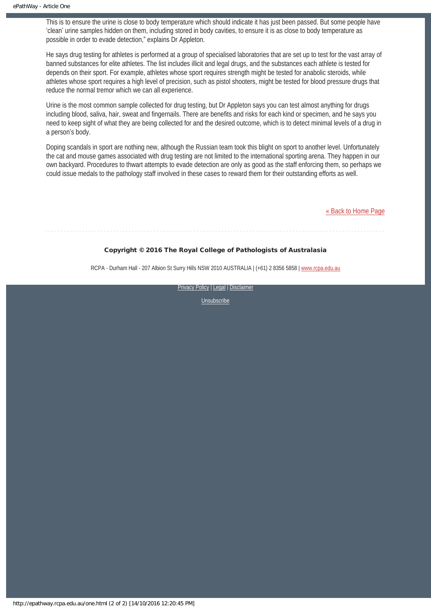This is to ensure the urine is close to body temperature which should indicate it has just been passed. But some people have 'clean' urine samples hidden on them, including stored in body cavities, to ensure it is as close to body temperature as possible in order to evade detection," explains Dr Appleton.

He says drug testing for athletes is performed at a group of specialised laboratories that are set up to test for the vast array of banned substances for elite athletes. The list includes illicit and legal drugs, and the substances each athlete is tested for depends on their sport. For example, athletes whose sport requires strength might be tested for anabolic steroids, while athletes whose sport requires a high level of precision, such as pistol shooters, might be tested for blood pressure drugs that reduce the normal tremor which we can all experience.

Urine is the most common sample collected for drug testing, but Dr Appleton says you can test almost anything for drugs including blood, saliva, hair, sweat and fingernails. There are benefits and risks for each kind or specimen, and he says you need to keep sight of what they are being collected for and the desired outcome, which is to detect minimal levels of a drug in a person's body.

Doping scandals in sport are nothing new, although the Russian team took this blight on sport to another level. Unfortunately the cat and mouse games associated with drug testing are not limited to the international sporting arena. They happen in our own backyard. Procedures to thwart attempts to evade detection are only as good as the staff enforcing them, so perhaps we could issue medals to the pathology staff involved in these cases to reward them for their outstanding efforts as well.

[« Back to Home Page](http://epathway.rcpa.edu.au/index.html)

### Copyright © 2016 The Royal College of Pathologists of Australasia

RCPA - Durham Hall - 207 Albion St Surry Hills NSW 2010 AUSTRALIA | (+61) 2 8356 5858 | [www.rcpa.edu.au](https://www.rcpa.edu.au/)

[Privacy Policy](https://www.rcpa.edu.au/Content-Library/Privacy.aspx) | [Legal](https://www.rcpa.edu.au/Legal.aspx) | Disclaimer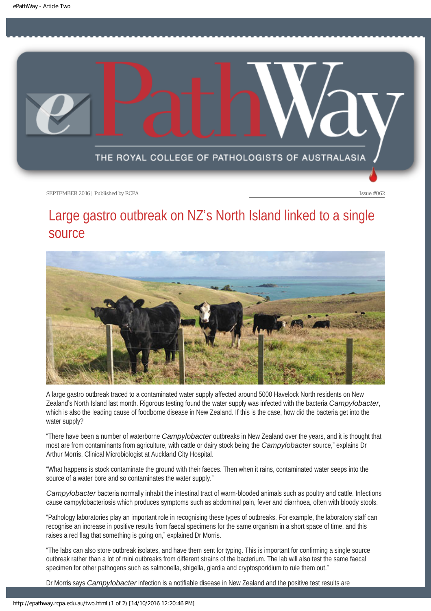<span id="page-10-0"></span>

# Large gastro outbreak on NZ's North Island linked to a single source



A large gastro outbreak traced to a contaminated water supply affected around 5000 Havelock North residents on New Zealand's North Island last month. Rigorous testing found the water supply was infected with the bacteria *Campylobacter*, which is also the leading cause of foodborne disease in New Zealand. If this is the case, how did the bacteria get into the water supply?

"There have been a number of waterborne *Campylobacter* outbreaks in New Zealand over the years, and it is thought that most are from contaminants from agriculture, with cattle or dairy stock being the *Campylobacter* source," explains Dr Arthur Morris, Clinical Microbiologist at Auckland City Hospital.

"What happens is stock contaminate the ground with their faeces. Then when it rains, contaminated water seeps into the source of a water bore and so contaminates the water supply."

*Campylobacter* bacteria normally inhabit the intestinal tract of warm-blooded animals such as poultry and cattle. Infections cause campylobacteriosis which produces symptoms such as abdominal pain, fever and diarrhoea, often with bloody stools.

"Pathology laboratories play an important role in recognising these types of outbreaks. For example, the laboratory staff can recognise an increase in positive results from faecal specimens for the same organism in a short space of time, and this raises a red flag that something is going on," explained Dr Morris.

"The labs can also store outbreak isolates, and have them sent for typing. This is important for confirming a single source outbreak rather than a lot of mini outbreaks from different strains of the bacterium. The lab will also test the same faecal specimen for other pathogens such as salmonella, shigella, giardia and cryptosporidium to rule them out."

Dr Morris says *Campylobacter* infection is a notifiable disease in New Zealand and the positive test results are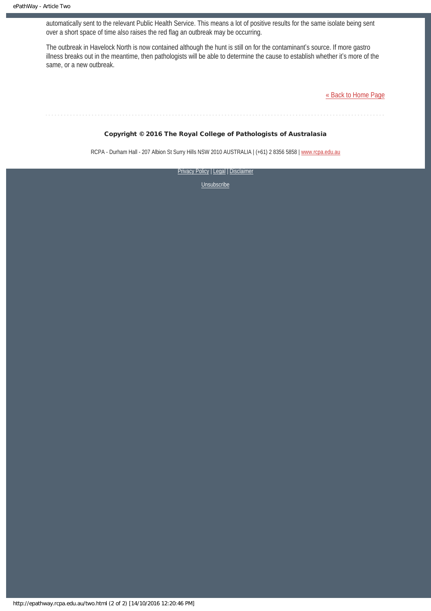automatically sent to the relevant Public Health Service. This means a lot of positive results for the same isolate being sent over a short space of time also raises the red flag an outbreak may be occurring.

The outbreak in Havelock North is now contained although the hunt is still on for the contaminant's source. If more gastro illness breaks out in the meantime, then pathologists will be able to determine the cause to establish whether it's more of the same, or a new outbreak.

[« Back to Home Page](http://epathway.rcpa.edu.au/index.html)

### Copyright © 2016 The Royal College of Pathologists of Australasia

RCPA - Durham Hall - 207 Albion St Surry Hills NSW 2010 AUSTRALIA | (+61) 2 8356 5858 | [www.rcpa.edu.au](https://www.rcpa.edu.au/)

[Privacy Policy](https://www.rcpa.edu.au/Content-Library/Privacy.aspx) | [Legal](https://www.rcpa.edu.au/Legal.aspx) | Disclaimer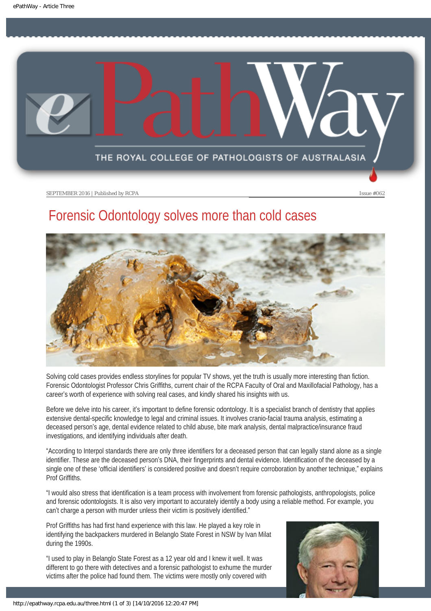<span id="page-12-0"></span>

# Forensic Odontology solves more than cold cases



Solving cold cases provides endless storylines for popular TV shows, yet the truth is usually more interesting than fiction. Forensic Odontologist Professor Chris Griffiths, current chair of the RCPA Faculty of Oral and Maxillofacial Pathology, has a career's worth of experience with solving real cases, and kindly shared his insights with us.

Before we delve into his career, it's important to define forensic odontology. It is a specialist branch of dentistry that applies extensive dental-specific knowledge to legal and criminal issues. It involves cranio-facial trauma analysis, estimating a deceased person's age, dental evidence related to child abuse, bite mark analysis, dental malpractice/insurance fraud investigations, and identifying individuals after death.

"According to Interpol standards there are only three identifiers for a deceased person that can legally stand alone as a single identifier. These are the deceased person's DNA, their fingerprints and dental evidence. Identification of the deceased by a single one of these 'official identifiers' is considered positive and doesn't require corroboration by another technique," explains Prof Griffiths.

"I would also stress that identification is a team process with involvement from forensic pathologists, anthropologists, police and forensic odontologists. It is also very important to accurately identify a body using a reliable method. For example, you can't charge a person with murder unless their victim is positively identified."

Prof Griffiths has had first hand experience with this law. He played a key role in identifying the backpackers murdered in Belanglo State Forest in NSW by Ivan Milat during the 1990s.

"I used to play in Belanglo State Forest as a 12 year old and I knew it well. It was different to go there with detectives and a forensic pathologist to exhume the murder victims after the police had found them. The victims were mostly only covered with

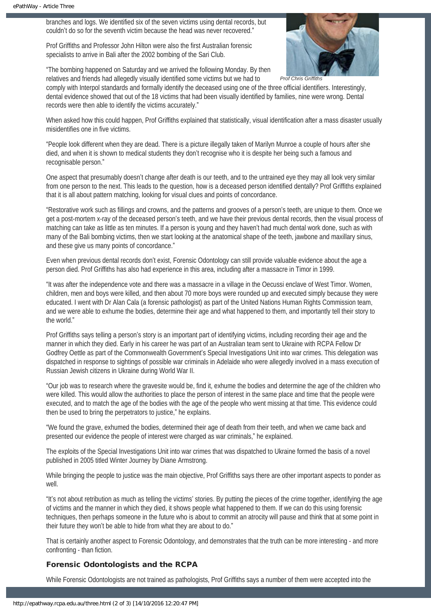branches and logs. We identified six of the seven victims using dental records, but couldn't do so for the seventh victim because the head was never recovered."

Prof Griffiths and Professor John Hilton were also the first Australian forensic specialists to arrive in Bali after the 2002 bombing of the Sari Club.

**Prof Chris Griffith** 

"The bombing happened on Saturday and we arrived the following Monday. By then relatives and friends had allegedly visually identified some victims but we had to

comply with Interpol standards and formally identify the deceased using one of the three official identifiers. Interestingly, dental evidence showed that out of the 18 victims that had been visually identified by families, nine were wrong. Dental records were then able to identify the victims accurately."

When asked how this could happen, Prof Griffiths explained that statistically, visual identification after a mass disaster usually misidentifies one in five victims.

"People look different when they are dead. There is a picture illegally taken of Marilyn Munroe a couple of hours after she died, and when it is shown to medical students they don't recognise who it is despite her being such a famous and recognisable person."

One aspect that presumably doesn't change after death is our teeth, and to the untrained eye they may all look very similar from one person to the next. This leads to the question, how is a deceased person identified dentally? Prof Griffiths explained that it is all about pattern matching, looking for visual clues and points of concordance.

"Restorative work such as fillings and crowns, and the patterns and grooves of a person's teeth, are unique to them. Once we get a post-mortem x-ray of the deceased person's teeth, and we have their previous dental records, then the visual process of matching can take as little as ten minutes. If a person is young and they haven't had much dental work done, such as with many of the Bali bombing victims, then we start looking at the anatomical shape of the teeth, jawbone and maxillary sinus, and these give us many points of concordance."

Even when previous dental records don't exist, Forensic Odontology can still provide valuable evidence about the age a person died. Prof Griffiths has also had experience in this area, including after a massacre in Timor in 1999.

"It was after the independence vote and there was a massacre in a village in the Oecussi enclave of West Timor. Women, children, men and boys were killed, and then about 70 more boys were rounded up and executed simply because they were educated. I went with Dr Alan Cala (a forensic pathologist) as part of the United Nations Human Rights Commission team, and we were able to exhume the bodies, determine their age and what happened to them, and importantly tell their story to the world."

Prof Griffiths says telling a person's story is an important part of identifying victims, including recording their age and the manner in which they died. Early in his career he was part of an Australian team sent to Ukraine with RCPA Fellow Dr Godfrey Oettle as part of the Commonwealth Government's Special Investigations Unit into war crimes. This delegation was dispatched in response to sightings of possible war criminals in Adelaide who were allegedly involved in a mass execution of Russian Jewish citizens in Ukraine during World War II.

"Our job was to research where the gravesite would be, find it, exhume the bodies and determine the age of the children who were killed. This would allow the authorities to place the person of interest in the same place and time that the people were executed, and to match the age of the bodies with the age of the people who went missing at that time. This evidence could then be used to bring the perpetrators to justice," he explains.

"We found the grave, exhumed the bodies, determined their age of death from their teeth, and when we came back and presented our evidence the people of interest were charged as war criminals," he explained.

The exploits of the Special Investigations Unit into war crimes that was dispatched to Ukraine formed the basis of a novel published in 2005 titled Winter Journey by Diane Armstrong.

While bringing the people to justice was the main objective, Prof Griffiths says there are other important aspects to ponder as well.

"It's not about retribution as much as telling the victims' stories. By putting the pieces of the crime together, identifying the age of victims and the manner in which they died, it shows people what happened to them. If we can do this using forensic techniques, then perhaps someone in the future who is about to commit an atrocity will pause and think that at some point in their future they won't be able to hide from what they are about to do."

That is certainly another aspect to Forensic Odontology, and demonstrates that the truth can be more interesting - and more confronting - than fiction.

### Forensic Odontologists and the RCPA

While Forensic Odontologists are not trained as pathologists, Prof Griffiths says a number of them were accepted into the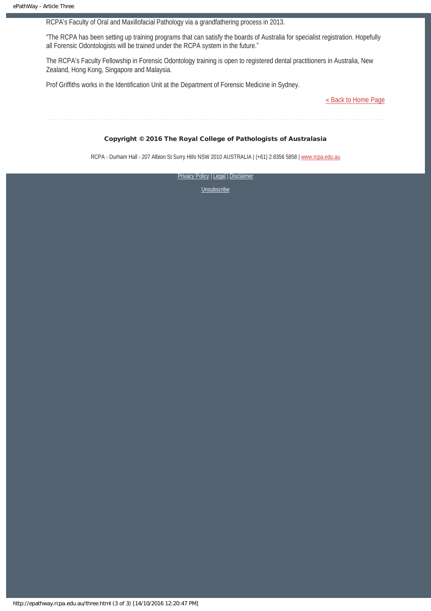RCPA's Faculty of Oral and Maxillofacial Pathology via a grandfathering process in 2013.

"The RCPA has been setting up training programs that can satisfy the boards of Australia for specialist registration. Hopefully all Forensic Odontologists will be trained under the RCPA system in the future."

The RCPA's Faculty Fellowship in Forensic Odontology training is open to registered dental practitioners in Australia, New Zealand, Hong Kong, Singapore and Malaysia.

Prof Griffiths works in the Identification Unit at the Department of Forensic Medicine in Sydney.

[« Back to Home Page](http://epathway.rcpa.edu.au/index.html)

### Copyright © 2016 The Royal College of Pathologists of Australasia

RCPA - Durham Hall - 207 Albion St Surry Hills NSW 2010 AUSTRALIA | (+61) 2 8356 5858 | [www.rcpa.edu.au](https://www.rcpa.edu.au/)

[Privacy Policy](https://www.rcpa.edu.au/Content-Library/Privacy.aspx) | [Legal](https://www.rcpa.edu.au/Legal.aspx) | Disclaimer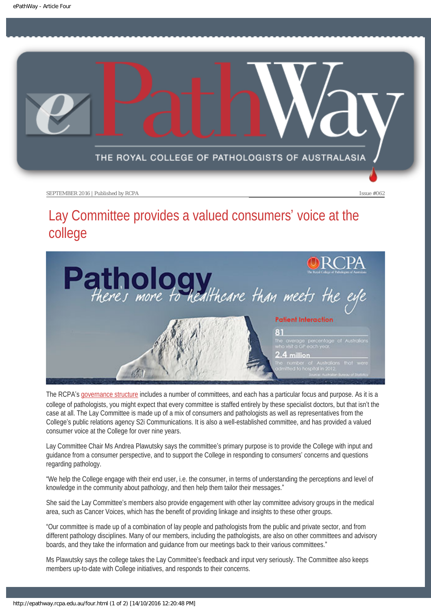<span id="page-15-0"></span>

# Lay Committee provides a valued consumers' voice at the college



The RCPA's [governance structure](https://www.rcpa.edu.au/About/Governance/Docs/RCPA-Governance-Structure.aspx) includes a number of committees, and each has a particular focus and purpose. As it is a college of pathologists, you might expect that every committee is staffed entirely by these specialist doctors, but that isn't the case at all. The Lay Committee is made up of a mix of consumers and pathologists as well as representatives from the College's public relations agency S2i Communications. It is also a well-established committee, and has provided a valued consumer voice at the College for over nine years.

Lay Committee Chair Ms Andrea Plawutsky says the committee's primary purpose is to provide the College with input and guidance from a consumer perspective, and to support the College in responding to consumers' concerns and questions regarding pathology.

"We help the College engage with their end user, i.e. the consumer, in terms of understanding the perceptions and level of knowledge in the community about pathology, and then help them tailor their messages."

She said the Lay Committee's members also provide engagement with other lay committee advisory groups in the medical area, such as Cancer Voices, which has the benefit of providing linkage and insights to these other groups.

"Our committee is made up of a combination of lay people and pathologists from the public and private sector, and from different pathology disciplines. Many of our members, including the pathologists, are also on other committees and advisory boards, and they take the information and guidance from our meetings back to their various committees."

Ms Plawutsky says the college takes the Lay Committee's feedback and input very seriously. The Committee also keeps members up-to-date with College initiatives, and responds to their concerns.